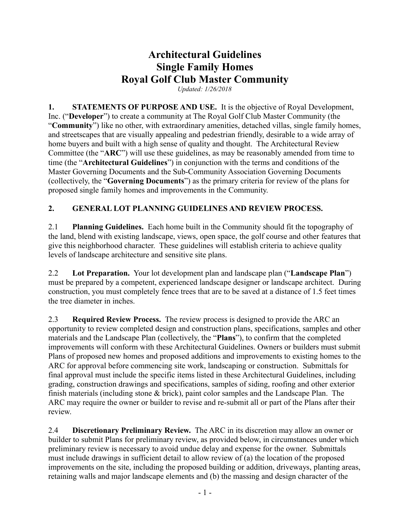# **Architectural Guidelines Single Family Homes Royal Golf Club Master Community**

*Updated: 1/26/2018*

**1. STATEMENTS OF PURPOSE AND USE.** It is the objective of Royal Development, Inc. ("**Developer**") to create a community at The Royal Golf Club Master Community (the "**Community**") like no other, with extraordinary amenities, detached villas, single family homes, and streetscapes that are visually appealing and pedestrian friendly, desirable to a wide array of home buyers and built with a high sense of quality and thought. The Architectural Review Committee (the "**ARC**") will use these guidelines, as may be reasonably amended from time to time (the "**Architectural Guidelines**") in conjunction with the terms and conditions of the Master Governing Documents and the Sub-Community Association Governing Documents (collectively, the "**Governing Documents**") as the primary criteria for review of the plans for proposed single family homes and improvements in the Community.

### **2. GENERAL LOT PLANNING GUIDELINES AND REVIEW PROCESS.**

2.1 **Planning Guidelines.** Each home built in the Community should fit the topography of the land, blend with existing landscape, views, open space, the golf course and other features that give this neighborhood character. These guidelines will establish criteria to achieve quality levels of landscape architecture and sensitive site plans.

2.2 **Lot Preparation.** Your lot development plan and landscape plan ("**Landscape Plan**") must be prepared by a competent, experienced landscape designer or landscape architect. During construction, you must completely fence trees that are to be saved at a distance of 1.5 feet times the tree diameter in inches.

2.3 **Required Review Process.** The review process is designed to provide the ARC an opportunity to review completed design and construction plans, specifications, samples and other materials and the Landscape Plan (collectively, the "**Plans**"), to confirm that the completed improvements will conform with these Architectural Guidelines. Owners or builders must submit Plans of proposed new homes and proposed additions and improvements to existing homes to the ARC for approval before commencing site work, landscaping or construction. Submittals for final approval must include the specific items listed in these Architectural Guidelines, including grading, construction drawings and specifications, samples of siding, roofing and other exterior finish materials (including stone & brick), paint color samples and the Landscape Plan. The ARC may require the owner or builder to revise and re-submit all or part of the Plans after their review.

2.4 **Discretionary Preliminary Review.** The ARC in its discretion may allow an owner or builder to submit Plans for preliminary review, as provided below, in circumstances under which preliminary review is necessary to avoid undue delay and expense for the owner. Submittals must include drawings in sufficient detail to allow review of (a) the location of the proposed improvements on the site, including the proposed building or addition, driveways, planting areas, retaining walls and major landscape elements and (b) the massing and design character of the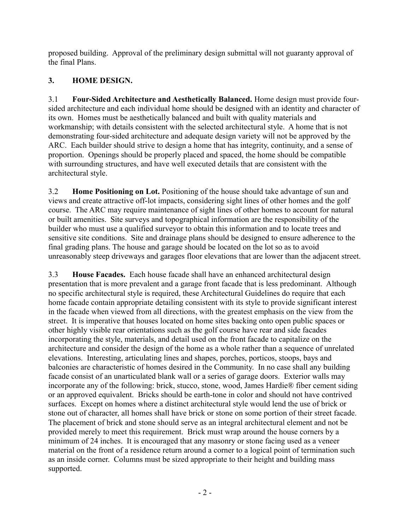proposed building. Approval of the preliminary design submittal will not guaranty approval of the final Plans.

## **3. HOME DESIGN.**

3.1 **Four-Sided Architecture and Aesthetically Balanced.** Home design must provide foursided architecture and each individual home should be designed with an identity and character of its own. Homes must be aesthetically balanced and built with quality materials and workmanship; with details consistent with the selected architectural style. A home that is not demonstrating four-sided architecture and adequate design variety will not be approved by the ARC. Each builder should strive to design a home that has integrity, continuity, and a sense of proportion. Openings should be properly placed and spaced, the home should be compatible with surrounding structures, and have well executed details that are consistent with the architectural style.

3.2 **Home Positioning on Lot.** Positioning of the house should take advantage of sun and views and create attractive off-lot impacts, considering sight lines of other homes and the golf course. The ARC may require maintenance of sight lines of other homes to account for natural or built amenities. Site surveys and topographical information are the responsibility of the builder who must use a qualified surveyor to obtain this information and to locate trees and sensitive site conditions. Site and drainage plans should be designed to ensure adherence to the final grading plans. The house and garage should be located on the lot so as to avoid unreasonably steep driveways and garages floor elevations that are lower than the adjacent street.

3.3 **House Facades.** Each house facade shall have an enhanced architectural design presentation that is more prevalent and a garage front facade that is less predominant. Although no specific architectural style is required, these Architectural Guidelines do require that each home facade contain appropriate detailing consistent with its style to provide significant interest in the facade when viewed from all directions, with the greatest emphasis on the view from the street. It is imperative that houses located on home sites backing onto open public spaces or other highly visible rear orientations such as the golf course have rear and side facades incorporating the style, materials, and detail used on the front facade to capitalize on the architecture and consider the design of the home as a whole rather than a sequence of unrelated elevations. Interesting, articulating lines and shapes, porches, porticos, stoops, bays and balconies are characteristic of homes desired in the Community. In no case shall any building facade consist of an unarticulated blank wall or a series of garage doors. Exterior walls may incorporate any of the following: brick, stucco, stone, wood, James Hardie® fiber cement siding or an approved equivalent. Bricks should be earth-tone in color and should not have contrived surfaces. Except on homes where a distinct architectural style would lend the use of brick or stone out of character, all homes shall have brick or stone on some portion of their street facade. The placement of brick and stone should serve as an integral architectural element and not be provided merely to meet this requirement. Brick must wrap around the house corners by a minimum of 24 inches. It is encouraged that any masonry or stone facing used as a veneer material on the front of a residence return around a corner to a logical point of termination such as an inside corner. Columns must be sized appropriate to their height and building mass supported.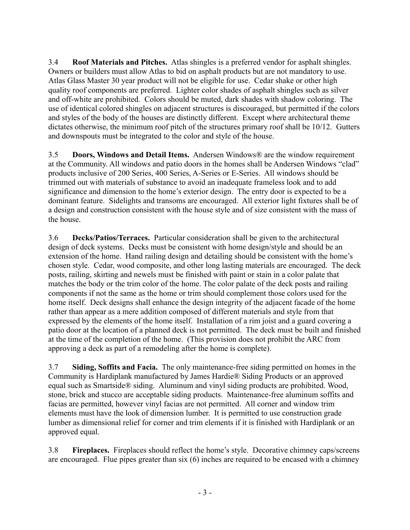3.4 **Roof Materials and Pitches.** Atlas shingles is a preferred vendor for asphalt shingles. Owners or builders must allow Atlas to bid on asphalt products but are not mandatory to use. Atlas Glass Master 30 year product will not be eligible for use. Cedar shake or other high quality roof components are preferred. Lighter color shades of asphalt shingles such as silver and off-white are prohibited. Colors should be muted, dark shades with shadow coloring. The use of identical colored shingles on adjacent structures is discouraged, but permitted if the colors and styles of the body of the houses are distinctly different. Except where architectural theme dictates otherwise, the minimum roof pitch of the structures primary roof shall be 10/12. Gutters and downspouts must be integrated to the color and style of the house.

3.5 **Doors, Windows and Detail Items.** Andersen Windows® are the window requirement at the Community. All windows and patio doors in the homes shall be Andersen Windows "clad" products inclusive of 200 Series, 400 Series, A-Series or E-Series. All windows should be trimmed out with materials of substance to avoid an inadequate frameless look and to add significance and dimension to the home's exterior design. The entry door is expected to be a dominant feature. Sidelights and transoms are encouraged. All exterior light fixtures shall be of a design and construction consistent with the house style and of size consistent with the mass of the house.

3.6 **Decks/Patios/Terraces.** Particular consideration shall be given to the architectural design of deck systems. Decks must be consistent with home design/style and should be an extension of the home. Hand railing design and detailing should be consistent with the home's chosen style. Cedar, wood composite, and other long lasting materials are encouraged. The deck posts, railing, skirting and newels must be finished with paint or stain in a color palate that matches the body or the trim color of the home. The color palate of the deck posts and railing components if not the same as the home or trim should complement those colors used for the home itself. Deck designs shall enhance the design integrity of the adjacent facade of the home rather than appear as a mere addition composed of different materials and style from that expressed by the elements of the home itself. Installation of a rim joist and a guard covering a patio door at the location of a planned deck is not permitted. The deck must be built and finished at the time of the completion of the home. (This provision does not prohibit the ARC from approving a deck as part of a remodeling after the home is complete).

3.7 **Siding, Soffits and Facia.** The only maintenance-free siding permitted on homes in the Community is Hardiplank manufactured by James Hardie® Siding Products or an approved equal such as Smartside® siding. Aluminum and vinyl siding products are prohibited. Wood, stone, brick and stucco are acceptable siding products. Maintenance-free aluminum soffits and facias are permitted, however vinyl facias are not permitted. All corner and window trim elements must have the look of dimension lumber. It is permitted to use construction grade lumber as dimensional relief for corner and trim elements if it is finished with Hardiplank or an approved equal.

3.8 **Fireplaces.** Fireplaces should reflect the home's style. Decorative chimney caps/screens are encouraged. Flue pipes greater than six (6) inches are required to be encased with a chimney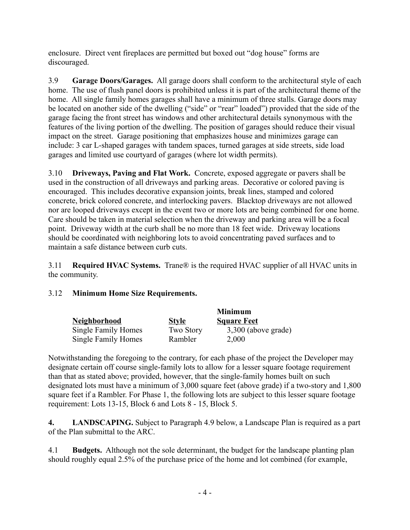enclosure. Direct vent fireplaces are permitted but boxed out "dog house" forms are discouraged.

3.9 **Garage Doors/Garages.** All garage doors shall conform to the architectural style of each home. The use of flush panel doors is prohibited unless it is part of the architectural theme of the home. All single family homes garages shall have a minimum of three stalls. Garage doors may be located on another side of the dwelling ("side" or "rear" loaded") provided that the side of the garage facing the front street has windows and other architectural details synonymous with the features of the living portion of the dwelling. The position of garages should reduce their visual impact on the street. Garage positioning that emphasizes house and minimizes garage can include: 3 car L-shaped garages with tandem spaces, turned garages at side streets, side load garages and limited use courtyard of garages (where lot width permits).

3.10 **Driveways, Paving and Flat Work.** Concrete, exposed aggregate or pavers shall be used in the construction of all driveways and parking areas. Decorative or colored paving is encouraged. This includes decorative expansion joints, break lines, stamped and colored concrete, brick colored concrete, and interlocking pavers. Blacktop driveways are not allowed nor are looped driveways except in the event two or more lots are being combined for one home. Care should be taken in material selection when the driveway and parking area will be a focal point. Driveway width at the curb shall be no more than 18 feet wide. Driveway locations should be coordinated with neighboring lots to avoid concentrating paved surfaces and to maintain a safe distance between curb cuts.

3.11 **Required HVAC Systems.** Trane® is the required HVAC supplier of all HVAC units in the community.

### 3.12 **Minimum Home Size Requirements.**

|                     |                  | <b>Minimum</b>        |
|---------------------|------------------|-----------------------|
| <b>Neighborhood</b> | <b>Style</b>     | <b>Square Feet</b>    |
| Single Family Homes | <b>Two Story</b> | $3,300$ (above grade) |
| Single Family Homes | Rambler          | 2,000                 |

Notwithstanding the foregoing to the contrary, for each phase of the project the Developer may designate certain off course single-family lots to allow for a lesser square footage requirement than that as stated above; provided, however, that the single-family homes built on such designated lots must have a minimum of 3,000 square feet (above grade) if a two-story and 1,800 square feet if a Rambler. For Phase 1, the following lots are subject to this lesser square footage requirement: Lots 13-15, Block 6 and Lots 8 - 15, Block 5.

**4. LANDSCAPING.** Subject to Paragraph 4.9 below, a Landscape Plan is required as a part of the Plan submittal to the ARC.

4.1 **Budgets.** Although not the sole determinant, the budget for the landscape planting plan should roughly equal 2.5% of the purchase price of the home and lot combined (for example,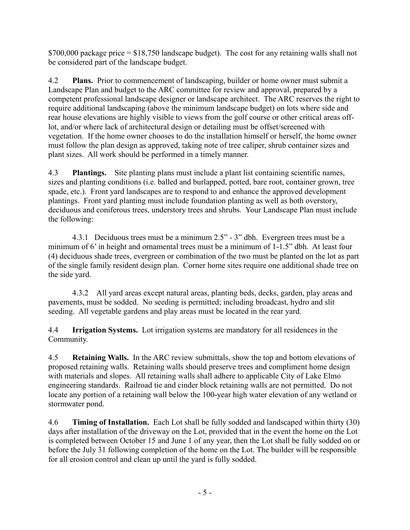\$700,000 package price = \$18,750 landscape budget). The cost for any retaining walls shall not be considered part of the landscape budget.

4.2 **Plans.** Prior to commencement of landscaping, builder or home owner must submit a Landscape Plan and budget to the ARC committee for review and approval, prepared by a competent professional landscape designer or landscape architect. The ARC reserves the right to require additional landscaping (above the minimum landscape budget) on lots where side and rear house elevations are highly visible to views from the golf course or other critical areas offlot, and/or where lack of architectural design or detailing must be offset/screened with vegetation. If the home owner chooses to do the installation himself or herself, the home owner must follow the plan design as approved, taking note of tree caliper, shrub container sizes and plant sizes. All work should be performed in a timely manner.

4.3 **Plantings.** Site planting plans must include a plant list containing scientific names, sizes and planting conditions (i.e. balled and burlapped, potted, bare root, container grown, tree spade, etc.). Front yard landscapes are to respond to and enhance the approved development plantings. Front yard planting must include foundation planting as well as both overstory, deciduous and coniferous trees, understory trees and shrubs. Your Landscape Plan must include the following:

4.3.1 Deciduous trees must be a minimum 2.5" - 3" dbh. Evergreen trees must be a minimum of 6' in height and ornamental trees must be a minimum of 1-1.5" dbh. At least four (4) deciduous shade trees, evergreen or combination of the two must be planted on the lot as part of the single family resident design plan. Corner home sites require one additional shade tree on the side yard.

4.3.2 All yard areas except natural areas, planting beds, decks, garden, play areas and pavements, must be sodded. No seeding is permitted; including broadcast, hydro and slit seeding. All vegetable gardens and play areas must be located in the rear yard.

4.4 **Irrigation Systems.** Lot irrigation systems are mandatory for all residences in the Community.

4.5 **Retaining Walls.** In the ARC review submittals, show the top and bottom elevations of proposed retaining walls. Retaining walls should preserve trees and compliment home design with materials and slopes. All retaining walls shall adhere to applicable City of Lake Elmo engineering standards. Railroad tie and cinder block retaining walls are not permitted. Do not locate any portion of a retaining wall below the 100-year high water elevation of any wetland or stormwater pond.

4.6 **Timing of Installation.** Each Lot shall be fully sodded and landscaped within thirty (30) days after installation of the driveway on the Lot, provided that in the event the home on the Lot is completed between October 15 and June 1 of any year, then the Lot shall be fully sodded on or before the July 31 following completion of the home on the Lot. The builder will be responsible for all erosion control and clean up until the yard is fully sodded.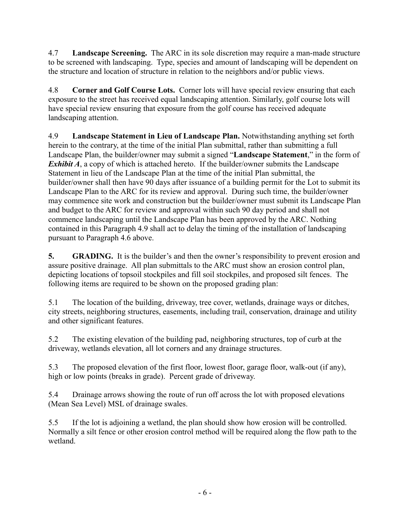4.7 **Landscape Screening.** The ARC in its sole discretion may require a man-made structure to be screened with landscaping. Type, species and amount of landscaping will be dependent on the structure and location of structure in relation to the neighbors and/or public views.

4.8 **Corner and Golf Course Lots.** Corner lots will have special review ensuring that each exposure to the street has received equal landscaping attention. Similarly, golf course lots will have special review ensuring that exposure from the golf course has received adequate landscaping attention.

4.9 **Landscape Statement in Lieu of Landscape Plan.** Notwithstanding anything set forth herein to the contrary, at the time of the initial Plan submittal, rather than submitting a full Landscape Plan, the builder/owner may submit a signed "**Landscape Statement**," in the form of *Exhibit A*, a copy of which is attached hereto. If the builder/owner submits the Landscape Statement in lieu of the Landscape Plan at the time of the initial Plan submittal, the builder/owner shall then have 90 days after issuance of a building permit for the Lot to submit its Landscape Plan to the ARC for its review and approval. During such time, the builder/owner may commence site work and construction but the builder/owner must submit its Landscape Plan and budget to the ARC for review and approval within such 90 day period and shall not commence landscaping until the Landscape Plan has been approved by the ARC. Nothing contained in this Paragraph 4.9 shall act to delay the timing of the installation of landscaping pursuant to Paragraph 4.6 above.

**5. GRADING.** It is the builder's and then the owner's responsibility to prevent erosion and assure positive drainage. All plan submittals to the ARC must show an erosion control plan, depicting locations of topsoil stockpiles and fill soil stockpiles, and proposed silt fences. The following items are required to be shown on the proposed grading plan:

5.1 The location of the building, driveway, tree cover, wetlands, drainage ways or ditches, city streets, neighboring structures, easements, including trail, conservation, drainage and utility and other significant features.

5.2 The existing elevation of the building pad, neighboring structures, top of curb at the driveway, wetlands elevation, all lot corners and any drainage structures.

5.3 The proposed elevation of the first floor, lowest floor, garage floor, walk-out (if any), high or low points (breaks in grade). Percent grade of driveway.

5.4 Drainage arrows showing the route of run off across the lot with proposed elevations (Mean Sea Level) MSL of drainage swales.

5.5 If the lot is adjoining a wetland, the plan should show how erosion will be controlled. Normally a silt fence or other erosion control method will be required along the flow path to the wetland.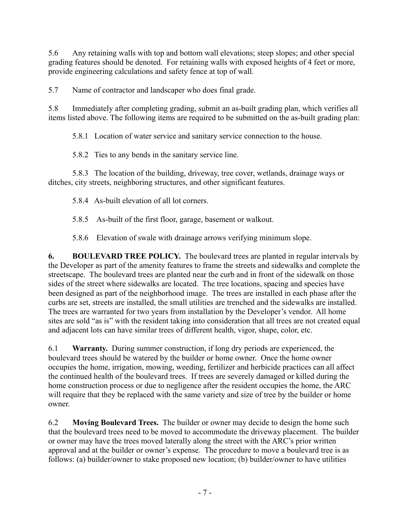5.6 Any retaining walls with top and bottom wall elevations; steep slopes; and other special grading features should be denoted. For retaining walls with exposed heights of 4 feet or more, provide engineering calculations and safety fence at top of wall.

5.7 Name of contractor and landscaper who does final grade.

5.8 Immediately after completing grading, submit an as-built grading plan, which verifies all items listed above. The following items are required to be submitted on the as-built grading plan:

5.8.1 Location of water service and sanitary service connection to the house.

5.8.2 Ties to any bends in the sanitary service line.

5.8.3 The location of the building, driveway, tree cover, wetlands, drainage ways or ditches, city streets, neighboring structures, and other significant features.

5.8.4 As-built elevation of all lot corners.

5.8.5 As-built of the first floor, garage, basement or walkout.

5.8.6 Elevation of swale with drainage arrows verifying minimum slope.

**6. BOULEVARD TREE POLICY.** The boulevard trees are planted in regular intervals by the Developer as part of the amenity features to frame the streets and sidewalks and complete the streetscape. The boulevard trees are planted near the curb and in front of the sidewalk on those sides of the street where sidewalks are located. The tree locations, spacing and species have been designed as part of the neighborhood image. The trees are installed in each phase after the curbs are set, streets are installed, the small utilities are trenched and the sidewalks are installed. The trees are warranted for two years from installation by the Developer's vendor. All home sites are sold "as is" with the resident taking into consideration that all trees are not created equal and adjacent lots can have similar trees of different health, vigor, shape, color, etc.

6.1 **Warranty.** During summer construction, if long dry periods are experienced, the boulevard trees should be watered by the builder or home owner. Once the home owner occupies the home, irrigation, mowing, weeding, fertilizer and herbicide practices can all affect the continued health of the boulevard trees. If trees are severely damaged or killed during the home construction process or due to negligence after the resident occupies the home, the ARC will require that they be replaced with the same variety and size of tree by the builder or home owner.

6.2 **Moving Boulevard Trees.** The builder or owner may decide to design the home such that the boulevard trees need to be moved to accommodate the driveway placement. The builder or owner may have the trees moved laterally along the street with the ARC's prior written approval and at the builder or owner's expense. The procedure to move a boulevard tree is as follows: (a) builder/owner to stake proposed new location; (b) builder/owner to have utilities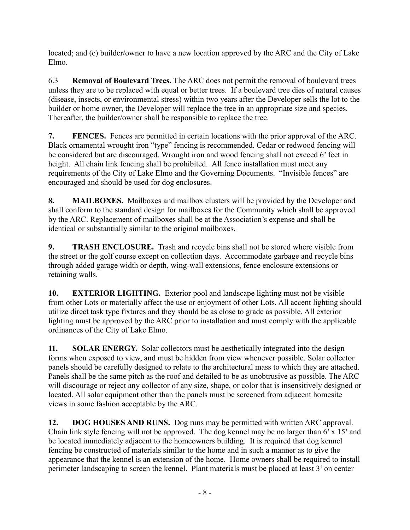located; and (c) builder/owner to have a new location approved by the ARC and the City of Lake Elmo.

6.3 **Removal of Boulevard Trees.** The ARC does not permit the removal of boulevard trees unless they are to be replaced with equal or better trees. If a boulevard tree dies of natural causes (disease, insects, or environmental stress) within two years after the Developer sells the lot to the builder or home owner, the Developer will replace the tree in an appropriate size and species. Thereafter, the builder/owner shall be responsible to replace the tree.

**7. FENCES.** Fences are permitted in certain locations with the prior approval of the ARC. Black ornamental wrought iron "type" fencing is recommended. Cedar or redwood fencing will be considered but are discouraged. Wrought iron and wood fencing shall not exceed 6' feet in height. All chain link fencing shall be prohibited. All fence installation must meet any requirements of the City of Lake Elmo and the Governing Documents. "Invisible fences" are encouraged and should be used for dog enclosures.

**8. MAILBOXES.** Mailboxes and mailbox clusters will be provided by the Developer and shall conform to the standard design for mailboxes for the Community which shall be approved by the ARC. Replacement of mailboxes shall be at the Association's expense and shall be identical or substantially similar to the original mailboxes.

**9. TRASH ENCLOSURE.** Trash and recycle bins shall not be stored where visible from the street or the golf course except on collection days. Accommodate garbage and recycle bins through added garage width or depth, wing-wall extensions, fence enclosure extensions or retaining walls.

**10. EXTERIOR LIGHTING.** Exterior pool and landscape lighting must not be visible from other Lots or materially affect the use or enjoyment of other Lots. All accent lighting should utilize direct task type fixtures and they should be as close to grade as possible. All exterior lighting must be approved by the ARC prior to installation and must comply with the applicable ordinances of the City of Lake Elmo.

**11. SOLAR ENERGY.** Solar collectors must be aesthetically integrated into the design forms when exposed to view, and must be hidden from view whenever possible. Solar collector panels should be carefully designed to relate to the architectural mass to which they are attached. Panels shall be the same pitch as the roof and detailed to be as unobtrusive as possible. The ARC will discourage or reject any collector of any size, shape, or color that is insensitively designed or located. All solar equipment other than the panels must be screened from adjacent homesite views in some fashion acceptable by the ARC.

**12. DOG HOUSES AND RUNS.** Dog runs may be permitted with written ARC approval. Chain link style fencing will not be approved. The dog kennel may be no larger than 6' x 15' and be located immediately adjacent to the homeowners building. It is required that dog kennel fencing be constructed of materials similar to the home and in such a manner as to give the appearance that the kennel is an extension of the home. Home owners shall be required to install perimeter landscaping to screen the kennel. Plant materials must be placed at least 3' on center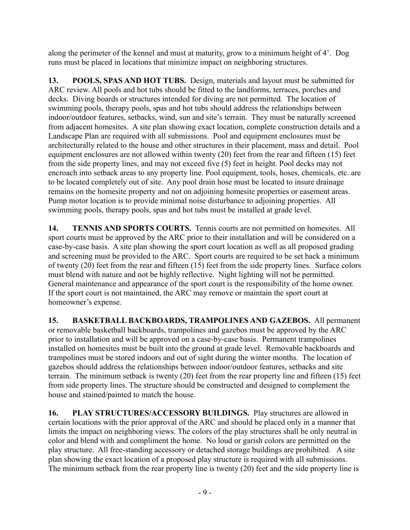along the perimeter of the kennel and must at maturity, grow to a minimum height of 4'. Dog runs must be placed in locations that minimize impact on neighboring structures.

**13. POOLS, SPAS AND HOT TUBS.** Design, materials and layout must be submitted for ARC review. All pools and hot tubs should be fitted to the landforms, terraces, porches and decks. Diving boards or structures intended for diving are not permitted. The location of swimming pools, therapy pools, spas and hot tubs should address the relationships between indoor/outdoor features, setbacks, wind, sun and site's terrain. They must be naturally screened from adjacent homesites. A site plan showing exact location, complete construction details and a Landscape Plan are required with all submissions. Pool and equipment enclosures must be architecturally related to the house and other structures in their placement, mass and detail. Pool equipment enclosures are not allowed within twenty (20) feet from the rear and fifteen (15) feet from the side property lines, and may not exceed five (5) feet in height. Pool decks may not encroach into setback areas to any property line. Pool equipment, tools, hoses, chemicals, etc. are to be located completely out of site. Any pool drain hose must be located to insure drainage remains on the homesite property and not on adjoining homesite properties or easement areas. Pump motor location is to provide minimal noise disturbance to adjoining properties. All swimming pools, therapy pools, spas and hot tubs must be installed at grade level.

**14. TENNIS AND SPORTS COURTS.** Tennis courts are not permitted on homesites. All sport courts must be approved by the ARC prior to their installation and will be considered on a case-by-case basis. A site plan showing the sport court location as well as all proposed grading and screening must be provided to the ARC. Sport courts are required to be set back a minimum of twenty (20) feet from the rear and fifteen (15) feet from the side property lines. Surface colors must blend with nature and not be highly reflective. Night lighting will not be permitted. General maintenance and appearance of the sport court is the responsibility of the home owner. If the sport court is not maintained, the ARC may remove or maintain the sport court at homeowner's expense.

**15. BASKETBALL BACKBOARDS, TRAMPOLINES AND GAZEBOS.** All permanent or removable basketball backboards, trampolines and gazebos must be approved by the ARC prior to installation and will be approved on a case-by-case basis. Permanent trampolines installed on homesites must be built into the ground at grade level. Removable backboards and trampolines must be stored indoors and out of sight during the winter months. The location of gazebos should address the relationships between indoor/outdoor features, setbacks and site terrain. The minimum setback is twenty (20) feet from the rear property line and fifteen (15) feet from side property lines. The structure should be constructed and designed to complement the house and stained/painted to match the house.

**16. PLAY STRUCTURES/ACCESSORY BUILDINGS.** Play structures are allowed in certain locations with the prior approval of the ARC and should be placed only in a manner that limits the impact on neighboring views. The colors of the play structures shall be only neutral in color and blend with and compliment the home. No loud or garish colors are permitted on the play structure. All free-standing accessory or detached storage buildings are prohibited. A site plan showing the exact location of a proposed play structure is required with all submissions. The minimum setback from the rear property line is twenty (20) feet and the side property line is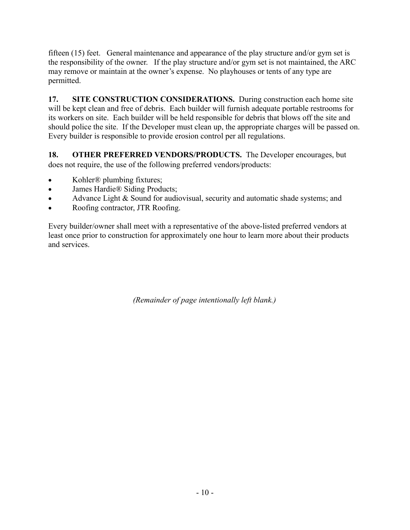fifteen (15) feet. General maintenance and appearance of the play structure and/or gym set is the responsibility of the owner. If the play structure and/or gym set is not maintained, the ARC may remove or maintain at the owner's expense. No playhouses or tents of any type are permitted.

**17. SITE CONSTRUCTION CONSIDERATIONS.** During construction each home site will be kept clean and free of debris. Each builder will furnish adequate portable restrooms for its workers on site. Each builder will be held responsible for debris that blows off the site and should police the site. If the Developer must clean up, the appropriate charges will be passed on. Every builder is responsible to provide erosion control per all regulations.

**18. OTHER PREFERRED VENDORS/PRODUCTS.** The Developer encourages, but does not require, the use of the following preferred vendors/products:

- Kohler<sup>®</sup> plumbing fixtures;
- James Hardie® Siding Products;
- Advance Light & Sound for audiovisual, security and automatic shade systems; and
- Roofing contractor, JTR Roofing.

Every builder/owner shall meet with a representative of the above-listed preferred vendors at least once prior to construction for approximately one hour to learn more about their products and services.

*(Remainder of page intentionally left blank.)*